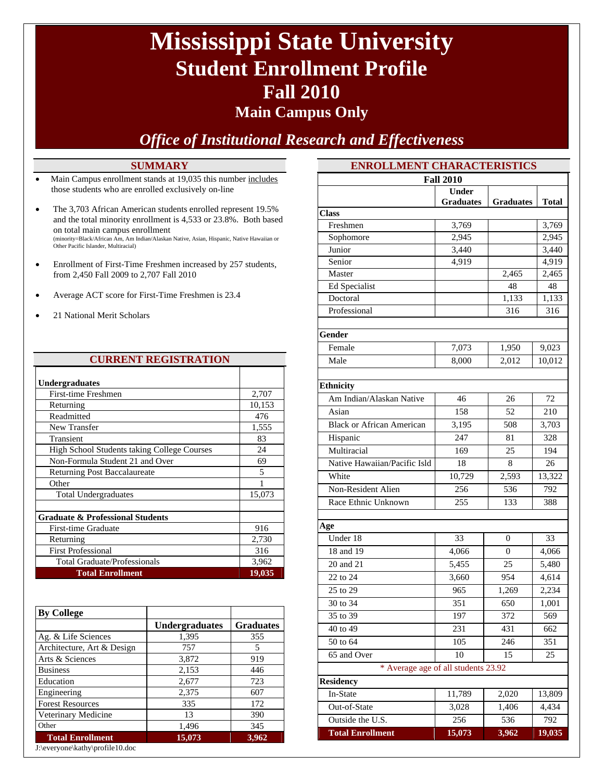# **Mississippi State University Student Enrollment Profile Fall 2010**

### **Main Campus Only**

### *Office of Institutional Research and Effectiveness*

#### **SUMMARY**

- Main Campus enrollment stands at 19,035 this number includes those students who are enrolled exclusively on-line
- The 3,703 African American students enrolled represent 19.5% and the total minority enrollment is 4,533 or 23.8%. Both based on total main campus enrollment (minority=Black/African Am, Am Indian/Alaskan Native, Asian, Hispanic, Native Hawaiian or Other Pacific Islander, Multiracial)
- Enrollment of First-Time Freshmen increased by 257 students, from 2,450 Fall 2009 to 2,707 Fall 2010
- Average ACT score for First-Time Freshmen is 23.4
- 21 National Merit Scholars

| <b>CURRENT REGISTRATION</b>                 |               |  |  |
|---------------------------------------------|---------------|--|--|
| <b>Undergraduates</b>                       |               |  |  |
| <b>First-time Freshmen</b>                  | 2,707         |  |  |
| Returning                                   | 10,153        |  |  |
| Readmitted                                  | 476           |  |  |
| New Transfer                                | 1,555         |  |  |
| Transient                                   | 83            |  |  |
| High School Students taking College Courses | 24            |  |  |
| Non-Formula Student 21 and Over             | 69            |  |  |
| Returning Post Baccalaureate                | 5             |  |  |
| Other                                       |               |  |  |
| <b>Total Undergraduates</b>                 | 15,073        |  |  |
|                                             |               |  |  |
| <b>Graduate &amp; Professional Students</b> |               |  |  |
| First-time Graduate                         | 916           |  |  |
| Returning                                   | 2,730         |  |  |
| <b>First Professional</b>                   | 316           |  |  |
| <b>Total Graduate/Professionals</b>         | 3,962         |  |  |
| <b>Total Enrollment</b>                     | <u>19,035</u> |  |  |

| <b>By College</b>          |                       |                  |
|----------------------------|-----------------------|------------------|
|                            | <b>Undergraduates</b> | <b>Graduates</b> |
| Ag. & Life Sciences        | 1,395                 | 355              |
| Architecture, Art & Design | 757                   | 5                |
| Arts & Sciences            | 3,872                 | 919              |
| <b>Business</b>            | 2,153                 | 446              |
| Education                  | 2,677                 | 723              |
| Engineering                | 2,375                 | 607              |
| <b>Forest Resources</b>    | 335                   | 172              |
| Veterinary Medicine        | 13                    | 390              |
| Other                      | 1,496                 | 345              |
| <b>Total Enrollment</b>    | 15,073                | 3,962            |

| J:\everyone\kathy\profile10.doc |  |
|---------------------------------|--|
|---------------------------------|--|

| <b>ENROLLMENT CHARACTERISTICS</b>   |                  |                  |                |
|-------------------------------------|------------------|------------------|----------------|
|                                     | <b>Fall 2010</b> |                  |                |
|                                     | <b>Under</b>     |                  |                |
|                                     | <b>Graduates</b> | <b>Graduates</b> | Total          |
| <b>Class</b>                        |                  |                  |                |
| Freshmen                            | 3,769            |                  | 3,769          |
| Sophomore                           | 2,945            |                  | 2,945          |
| Junior<br>Senior                    | 3,440            |                  | 3,440          |
| Master                              | 4,919            | 2,465            | 4,919<br>2,465 |
| Ed Specialist                       |                  | 48               | 48             |
| Doctoral                            |                  | 1,133            | 1,133          |
| Professional                        |                  | 316              | 316            |
|                                     |                  |                  |                |
| Gender                              |                  |                  |                |
| Female                              | 7,073            | 1,950            | 9,023          |
| Male                                | 8,000            | 2,012            | 10,012         |
|                                     |                  |                  |                |
| <b>Ethnicity</b>                    |                  |                  |                |
| Am Indian/Alaskan Native            | 46               | 26               | 72             |
| Asian                               | 158              | 52               | 210            |
| <b>Black or African American</b>    | 3,195            | 508              | 3,703          |
| Hispanic                            | 247              | 81               | 328            |
| Multiracial                         | 169              | 25               | 194            |
| Native Hawaiian/Pacific Isld        | 18               | 8                | 26             |
| White                               | 10,729           | 2,593            | 13,322         |
| Non-Resident Alien                  | 256              | 536              | 792            |
| Race Ethnic Unknown                 | 255              | 133              | 388            |
|                                     |                  |                  |                |
| Age                                 |                  |                  |                |
| Under 18                            | 33               | 0                | 33             |
| 18 and 19                           | 4,066            | 0                | 4,066          |
| 20 and 21                           | 5,455            | 25               | 5,480          |
| 22 to 24                            | 3,660            | 954              | 4,614          |
| 25 to 29                            | 965              | 1,269            | 2,234          |
| 30 to 34                            | 351              | 650              | 1,001          |
| 35 to 39                            | 197              | 372              | 569            |
| 40 to 49                            | 231              | 431              | 662            |
| 50 to 64                            | 105              | 246              | 351            |
| 65 and Over                         | 10               | 15               | 25             |
| * Average age of all students 23.92 |                  |                  |                |
| <b>Residency</b>                    |                  |                  |                |
| In-State                            | 11,789           | 2,020            | 13,809         |
| Out-of-State                        | 3,028            | 1,406            | 4,434          |
| Outside the U.S.                    | 256              | 536              | 792            |
| <b>Total Enrollment</b>             | 15,073           | 3,962            | 19,035         |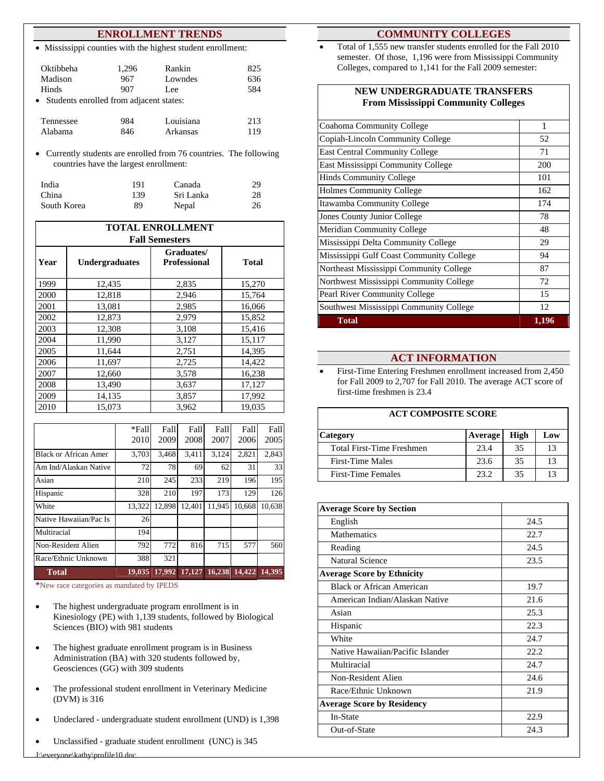#### **ENROLLMENT TRENDS**

Mississippi counties with the highest student enrollment:

| Oktibbeha                                 | 1,296 | Rankin    | 825 |
|-------------------------------------------|-------|-----------|-----|
| Madison                                   | 967   | Lowndes   | 636 |
| <b>Hinds</b>                              | 907   | Lee       | 584 |
| • Students enrolled from adjacent states: |       |           |     |
| Tennessee                                 | 984   | Louisiana | 213 |
| Alabama                                   | 846   | Arkansas  |     |

Currently students are enrolled from 76 countries. The following countries have the largest enrollment:

| India       | 191 | Canada    | 29 |
|-------------|-----|-----------|----|
| China       | 139 | Sri Lanka | 28 |
| South Korea | 89  | Nepal     | 26 |

| <b>TOTAL ENROLLMENT</b><br><b>Fall Semesters</b> |              |       |        |  |
|--------------------------------------------------|--------------|-------|--------|--|
| Year                                             | <b>Total</b> |       |        |  |
| 1999                                             | 12,435       | 2,835 | 15,270 |  |
| 2000                                             | 12,818       | 2,946 | 15,764 |  |
| 2001                                             | 13,081       | 2,985 | 16,066 |  |
| 2002                                             | 12,873       | 2,979 | 15,852 |  |
| 2003                                             | 12,308       | 3,108 | 15,416 |  |
| 2004                                             | 11,990       | 3,127 | 15,117 |  |
| 2005                                             | 11,644       | 2,751 | 14,395 |  |
| 2006                                             | 11,697       | 2,725 | 14,422 |  |
| 2007                                             | 12,660       | 3,578 | 16,238 |  |
| 2008                                             | 13,490       | 3,637 | 17,127 |  |
| 2009                                             | 14,135       | 3,857 | 17,992 |  |
| 2010                                             | 15,073       | 3,962 | 19,035 |  |

|                              | *Fall  | Fall   | Fall   | Fall   | Fall   | Fall   |
|------------------------------|--------|--------|--------|--------|--------|--------|
|                              | 2010   | 2009   | 2008   | 2007   | 2006   | 2005   |
| <b>Black or African Amer</b> | 3,703  | 3,468  | 3,411  | 3,124  | 2,821  | 2,843  |
| Am Ind/Alaskan Native        | 72     | 78     | 69     | 62     | 31     | 33     |
| Asian                        | 210    | 245    | 233    | 219    | 196    | 195    |
| Hispanic                     | 328    | 210    | 197    | 173    | 129    | 126    |
| White                        | 13.322 | 12.898 | 12,401 | 11.945 | 10.668 | 10.638 |
| Native Hawaiian/Pac Is       | 26     |        |        |        |        |        |
| Multiracial                  | 194    |        |        |        |        |        |
| Non-Resident Alien           | 792    | 772    | 816    | 715    | 577    | 560    |
| Race/Ethnic Unknown          | 388    | 321    |        |        |        |        |
| <b>Total</b>                 | 19.035 | 17.992 | 17.127 | 16.238 | 14.422 | 14.395 |

\*New race categories as mandated by IPEDS

 The highest undergraduate program enrollment is in Kinesiology (PE) with 1,139 students, followed by Biological Sciences (BIO) with 981 students

- The highest graduate enrollment program is in Business Administration (BA) with 320 students followed by, Geosciences (GG) with 309 students
- The professional student enrollment in Veterinary Medicine (DVM) is 316
- Undeclared undergraduate student enrollment (UND) is 1,398
- Unclassified graduate student enrollment (UNC) is 345

#### **COMMUNITY COLLEGES**

 Total of 1,555 new transfer students enrolled for the Fall 2010 semester. Of those, 1,196 were from Mississippi Community Colleges, compared to 1,141 for the Fall 2009 semester:

#### **NEW UNDERGRADUATE TRANSFERS From Mississippi Community Colleges**

| Coahoma Community College                | 1     |
|------------------------------------------|-------|
| Copiah-Lincoln Community College         | 52    |
| <b>East Central Community College</b>    | 71    |
| East Mississippi Community College       | 200   |
| <b>Hinds Community College</b>           | 101   |
| <b>Holmes Community College</b>          | 162   |
| Itawamba Community College               | 174   |
| Jones County Junior College              | 78    |
| <b>Meridian Community College</b>        | 48    |
| Mississippi Delta Community College      | 29    |
| Mississippi Gulf Coast Community College | 94    |
| Northeast Mississippi Community College  | 87    |
| Northwest Mississippi Community College  | 72    |
| <b>Pearl River Community College</b>     | 15    |
| Southwest Mississippi Community College  | 12    |
| Total                                    | 1,196 |

#### **ACT INFORMATION**

 First-Time Entering Freshmen enrollment increased from 2,450 for Fall 2009 to 2,707 for Fall 2010. The average ACT score of first-time freshmen is 23.4

#### **ACT COMPOSITE SCORE**

| <b>Category</b>                  | Average | High | Low            |
|----------------------------------|---------|------|----------------|
| <b>Total First-Time Freshmen</b> | 23.4    | 35   | 13             |
| <b>First-Time Males</b>          | 23.6    | 35   | 13             |
| <b>First-Time Females</b>        | 23.2    | 35   | 1 <sup>2</sup> |

| <b>Average Score by Section</b>   |      |
|-----------------------------------|------|
| English                           | 24.5 |
| <b>Mathematics</b>                | 22.7 |
| Reading                           | 24.5 |
| Natural Science                   | 23.5 |
| <b>Average Score by Ethnicity</b> |      |
| Black or African American         | 19.7 |
| American Indian/Alaskan Native    | 21.6 |
| Asian                             | 25.3 |
| Hispanic                          | 22.3 |
| White                             | 24.7 |
| Native Hawaiian/Pacific Islander  | 22.2 |
| Multiracial                       | 24.7 |
| Non-Resident Alien                | 24.6 |
| Race/Ethnic Unknown               | 21.9 |
| <b>Average Score by Residency</b> |      |
| In-State                          | 22.9 |
| Out-of-State                      | 24.3 |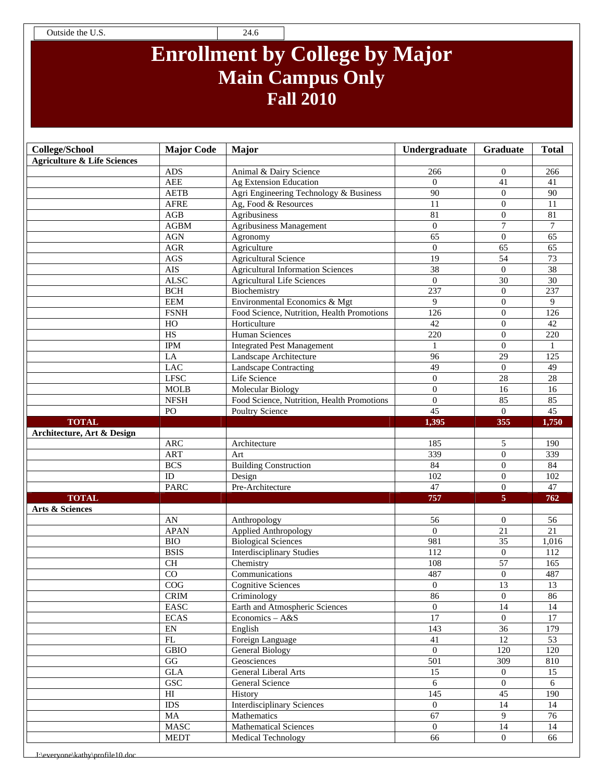Outside the U.S. 24.6

## **Enrollment by College by Major Main Campus Only Fall 2010**

| <b>College/School</b>                  | <b>Major Code</b>                 | Major                                        | Undergraduate        | Graduate                         | <b>Total</b>    |
|----------------------------------------|-----------------------------------|----------------------------------------------|----------------------|----------------------------------|-----------------|
| <b>Agriculture &amp; Life Sciences</b> |                                   |                                              |                      |                                  |                 |
|                                        | ADS                               | Animal & Dairy Science                       | 266                  | $\theta$                         | 266             |
|                                        | <b>AEE</b>                        | Ag Extension Education                       | $\overline{0}$       | 41                               | 41              |
|                                        | <b>AETB</b>                       | Agri Engineering Technology & Business       | 90                   | $\Omega$                         | 90              |
|                                        | <b>AFRE</b>                       | Ag, Food & Resources                         | 11                   | $\Omega$                         | 11              |
|                                        | $\rm{AGB}$                        | Agribusiness                                 | 81                   | $\boldsymbol{0}$                 | 81              |
|                                        | AGBM                              | Agribusiness Management                      | $\Omega$             | $\overline{7}$                   | $\tau$          |
|                                        | <b>AGN</b>                        | Agronomy                                     | 65                   | $\overline{0}$                   | 65              |
|                                        | AGR                               | Agriculture                                  | $\theta$             | 65                               | 65              |
|                                        | AGS                               | <b>Agricultural Science</b>                  | 19                   | $\overline{54}$                  | $\overline{73}$ |
|                                        | <b>AIS</b>                        | <b>Agricultural Information Sciences</b>     | 38                   | $\boldsymbol{0}$                 | 38              |
|                                        | <b>ALSC</b>                       | <b>Agricultural Life Sciences</b>            | $\overline{0}$       | 30                               | 30              |
|                                        | <b>BCH</b>                        | Biochemistry                                 | 237                  | $\overline{0}$                   | 237             |
|                                        | <b>EEM</b>                        | Environmental Economics & Mgt                | 9                    | $\theta$                         | 9               |
|                                        | <b>FSNH</b>                       | Food Science, Nutrition, Health Promotions   | 126                  | $\theta$                         | 126             |
|                                        | HO                                | Horticulture                                 | 42                   | $\mathbf{0}$                     | 42              |
|                                        | $\overline{HS}$                   | <b>Human Sciences</b>                        | 220                  | $\boldsymbol{0}$                 | 220             |
|                                        | <b>IPM</b>                        | <b>Integrated Pest Management</b>            | $\mathbf{1}$         | $\Omega$                         | 1               |
|                                        | LA                                | Landscape Architecture                       | 96                   | 29                               | 125             |
|                                        | <b>LAC</b>                        | Landscape Contracting                        | 49                   | $\mathbf{0}$                     | 49              |
|                                        | <b>LFSC</b>                       | Life Science                                 | $\theta$             | 28                               | $\overline{28}$ |
|                                        | MOLB                              | Molecular Biology                            | $\overline{0}$       | 16                               | 16              |
|                                        | ${\bf NFSH}$                      | Food Science, Nutrition, Health Promotions   | $\overline{0}$       | 85                               | 85              |
|                                        | PO                                | Poultry Science                              | $\overline{45}$      | $\Omega$                         | $\overline{45}$ |
| <b>TOTAL</b>                           |                                   |                                              | 1,395                | 355                              | 1,750           |
| Architecture, Art & Design             |                                   |                                              |                      |                                  |                 |
|                                        | $\rm{ARC}$                        | Architecture                                 | 185                  | 5                                | 190             |
|                                        | <b>ART</b>                        | Art                                          | 339                  | $\mathbf{0}$                     | 339             |
|                                        | <b>BCS</b>                        | <b>Building Construction</b>                 | 84                   | $\overline{0}$                   | 84              |
|                                        | ID                                | Design                                       | $\overline{102}$     | $\Omega$                         | 102             |
|                                        | <b>PARC</b>                       | Pre-Architecture                             | 47                   | $\overline{0}$                   | $\overline{47}$ |
| <b>TOTAL</b>                           |                                   |                                              | 757                  | $\overline{5}$                   | 762             |
| Arts & Sciences                        |                                   |                                              |                      |                                  |                 |
|                                        | AN                                | Anthropology                                 | 56                   | $\mathbf{0}$                     | 56              |
|                                        | <b>APAN</b>                       | Applied Anthropology                         | $\Omega$             | $\overline{21}$                  | $\overline{21}$ |
|                                        | <b>BIO</b>                        | <b>Biological Sciences</b>                   | 981                  | $\overline{35}$                  | 1,016           |
|                                        | <b>BSIS</b>                       | <b>Interdisciplinary Studies</b>             | 112                  | $\boldsymbol{0}$                 | 112             |
|                                        | <b>CH</b>                         | Chemistry                                    | 108                  | 57                               | 165             |
|                                        | CO                                | Communications                               | 487                  | $\mathbf{0}$                     | 487             |
|                                        | COG                               | Cognitive Sciences                           | $\theta$             | 13                               | 13              |
|                                        | <b>CRIM</b>                       | Criminology                                  | 86                   | $\overline{0}$                   | 86              |
|                                        | EASC                              | Earth and Atmospheric Sciences               | $\overline{0}$       | $\overline{14}$                  | 14              |
|                                        | <b>ECAS</b>                       | Economics $- A & S$                          | 17                   | $\overline{0}$                   | $\overline{17}$ |
|                                        | EN                                | English                                      | 143                  | 36                               | 179             |
|                                        | $\mathop{\rm FL}\nolimits$        | Foreign Language                             | 41                   | 12                               | 53              |
|                                        | <b>GBIO</b>                       | <b>General Biology</b>                       | $\overline{0}$       | 120                              | 120             |
|                                        | $\rm GG$                          | Geosciences                                  | 501                  | 309                              | 810             |
|                                        | <b>GLA</b><br>GSC                 | General Liberal Arts                         | $\overline{15}$<br>6 | $\overline{0}$<br>$\overline{0}$ | 15              |
|                                        |                                   | General Science                              |                      |                                  | 6               |
|                                        | $\mathop{\rm HI}\nolimits$<br>IDS | History<br><b>Interdisciplinary Sciences</b> | 145<br>$\Omega$      | 45<br>14                         | 190             |
|                                        |                                   |                                              |                      |                                  | 14              |
|                                        | MA                                | Mathematics                                  | 67                   | 9                                | 76              |
|                                        | $\operatorname{MASC}$             | <b>Mathematical Sciences</b>                 | $\overline{0}$       | 14                               | 14              |
|                                        | <b>MEDT</b>                       | <b>Medical Technology</b>                    | 66                   | $\overline{0}$                   | 66              |

\everyone\kathy\profile10.do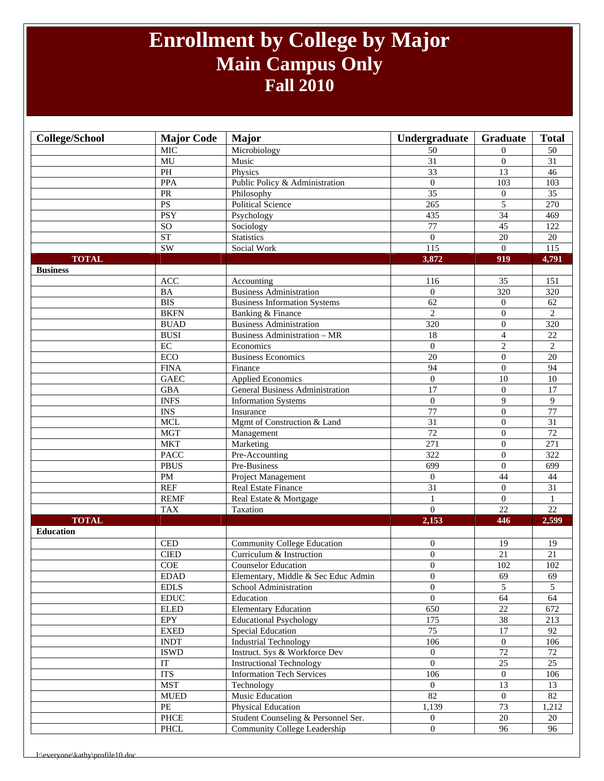### **Enrollment by College by Major Main Campus Only Fall 2010**

| College/School   | <b>Major Code</b>                     | <b>Major</b>                        | Undergraduate     | Graduate         | <b>Total</b>     |
|------------------|---------------------------------------|-------------------------------------|-------------------|------------------|------------------|
|                  | $\overline{\text{MIC}}$               | Microbiology                        | 50                | $\Omega$         | 50               |
|                  | $\overline{MU}$                       | Music                               | $\overline{31}$   | $\overline{0}$   | $\overline{31}$  |
|                  | PH                                    | Physics                             | 33                | 13               | 46               |
|                  | <b>PPA</b>                            | Public Policy & Administration      | $\mathbf{0}$      | 103              | 103              |
|                  | ${\sf PR}$                            | Philosophy                          | $\overline{35}$   | $\overline{0}$   | $\overline{35}$  |
|                  | PS                                    | <b>Political Science</b>            | 265               | 5                | 270              |
|                  | <b>PSY</b>                            | Psychology                          | 435               | 34               | 469              |
|                  | $\overline{SO}$                       | Sociology                           | $\overline{77}$   | $\overline{45}$  | $\overline{122}$ |
|                  | ST                                    | <b>Statistics</b>                   | $\overline{0}$    | $20\,$           | $20\,$           |
|                  | <b>SW</b>                             | Social Work                         | $\frac{115}{115}$ | $\overline{0}$   | 115              |
| <b>TOTAL</b>     |                                       |                                     | 3,872             | 919              | 4,791            |
| <b>Business</b>  |                                       |                                     |                   |                  |                  |
|                  | ACC                                   | Accounting                          | 116               | 35               | 151              |
|                  | BA                                    | <b>Business Administration</b>      | $\mathbf{0}$      | 320              | 320              |
|                  | <b>BIS</b>                            | <b>Business Information Systems</b> | $\overline{62}$   | $\overline{0}$   | $\overline{62}$  |
|                  | <b>BKFN</b>                           | Banking & Finance                   | $\overline{2}$    | $\overline{0}$   | $\overline{2}$   |
|                  | <b>BUAD</b>                           | <b>Business Administration</b>      | 320               | $\overline{0}$   | 320              |
|                  | <b>BUSI</b>                           | <b>Business Administration - MR</b> | 18                | $\overline{4}$   | 22               |
|                  | $\rm EC$                              | Economics                           | $\mathbf{0}$      | $\overline{c}$   | $\overline{c}$   |
|                  | ECO                                   | <b>Business Economics</b>           | $\overline{20}$   | $\boldsymbol{0}$ | $\overline{20}$  |
|                  | <b>FINA</b>                           | Finance                             | 94                | $\mathbf{0}$     | $\overline{94}$  |
|                  | <b>GAEC</b>                           | <b>Applied Economics</b>            | $\overline{0}$    | 10               | 10               |
|                  | <b>GBA</b>                            | General Business Administration     | 17                | $\overline{0}$   | 17               |
|                  | <b>INFS</b>                           | <b>Information Systems</b>          | $\mathbf{0}$      | 9                | 9                |
|                  | $\mathop{\rm INS}\nolimits$           | Insurance                           | 77                | $\overline{0}$   | 77               |
|                  | <b>MCL</b>                            | Mgmt of Construction & Land         | 31                | $\boldsymbol{0}$ | 31               |
|                  | <b>MGT</b>                            | Management                          | $\overline{72}$   | $\Omega$         | $\overline{72}$  |
|                  | <b>MKT</b>                            | Marketing                           | 271               | $\mathbf{0}$     | $\overline{271}$ |
|                  | <b>PACC</b>                           | Pre-Accounting                      | 322               | $\mathbf{0}$     | 322              |
|                  | <b>PBUS</b>                           | Pre-Business                        | 699               | $\mathbf{0}$     | 699              |
|                  | $\mathbf{PM}$                         | Project Management                  | $\mathbf{0}$      | 44               | 44               |
|                  | <b>REF</b>                            | Real Estate Finance                 | $\overline{31}$   | $\overline{0}$   | 31               |
|                  | <b>REMF</b>                           | Real Estate & Mortgage              | $\mathbf{1}$      | $\overline{0}$   | $\mathbf{1}$     |
|                  | <b>TAX</b>                            | Taxation                            | $\overline{0}$    | $\overline{22}$  | $\overline{22}$  |
| <b>TOTAL</b>     |                                       |                                     | 2,153             | 446              | 2,599            |
| <b>Education</b> |                                       |                                     |                   |                  |                  |
|                  | <b>CED</b>                            | Community College Education         | $\mathbf{0}$      | 19               | 19               |
|                  | <b>CIED</b>                           | Curriculum & Instruction            | $\mathbf{0}$      | 21               | $21\,$           |
|                  | COE                                   | <b>Counselor Education</b>          | $\overline{0}$    | 102              | 102              |
|                  | <b>EDAD</b>                           | Elementary, Middle & Sec Educ Admin | $\mathbf{0}$      | 69               | 69               |
|                  | <b>EDLS</b>                           | School Administration               | $\Omega$          | $\overline{5}$   | 5                |
|                  | $\mathop{\rm EDUC}\nolimits$          | Education                           | $\mathbf{0}$      | 64               | 64               |
|                  | ${\hbox{\rm ELED}}$                   | <b>Elementary Education</b>         | 650               | $22\,$           | 672              |
|                  | EPY                                   | <b>Educational Psychology</b>       | 175               | $38\,$           | 213              |
|                  | ${\rm EXED}$                          | <b>Special Education</b>            | $\overline{75}$   | $\overline{17}$  | 92               |
|                  | <b>INDT</b>                           | <b>Industrial Technology</b>        | 106               | $\mathbf{0}$     | 106              |
|                  | <b>ISWD</b>                           | Instruct. Sys & Workforce Dev       | $\overline{0}$    | $\overline{72}$  | 72               |
|                  | $\operatorname{IT}$                   | <b>Instructional Technology</b>     | $\overline{0}$    | $\overline{25}$  | $\overline{25}$  |
|                  | <b>ITS</b>                            | <b>Information Tech Services</b>    | 106               | $\overline{0}$   | 106              |
|                  | <b>MST</b>                            | Technology                          | $\overline{0}$    | 13               | 13               |
|                  | <b>MUED</b>                           | Music Education                     | 82                | $\boldsymbol{0}$ | 82               |
|                  | $\ensuremath{\mathop{\text{\rm PE}}}$ | Physical Education                  | 1,139             | 73               | 1,212            |
|                  | $\ensuremath{\mathsf{PHCE}}$          | Student Counseling & Personnel Ser. | $\overline{0}$    | 20               | 20               |
|                  | PHCL                                  | Community College Leadership        | $\mathbf{0}$      | 96               | 96               |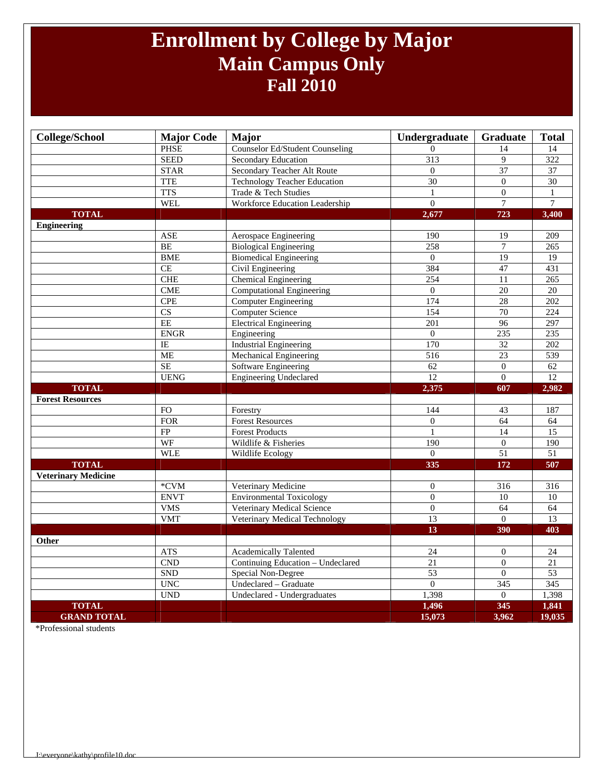### **Enrollment by College by Major Main Campus Only Fall 2010**

| <b>College/School</b>      | <b>Major Code</b>           | <b>Major</b>                           | Undergraduate    | Graduate         | <b>Total</b>     |
|----------------------------|-----------------------------|----------------------------------------|------------------|------------------|------------------|
|                            | <b>PHSE</b>                 | <b>Counselor Ed/Student Counseling</b> | $\Omega$         | 14               | 14               |
|                            | <b>SEED</b>                 | Secondary Education                    | $\overline{313}$ | 9                | 322              |
|                            | <b>STAR</b>                 | Secondary Teacher Alt Route            | $\Omega$         | 37               | $\overline{37}$  |
|                            | <b>TTE</b>                  | <b>Technology Teacher Education</b>    | 30               | $\boldsymbol{0}$ | $\overline{30}$  |
|                            | <b>TTS</b>                  | Trade & Tech Studies                   | $\mathbf{1}$     | $\overline{0}$   | $\mathbf{1}$     |
|                            | <b>WEL</b>                  | Workforce Education Leadership         | $\Omega$         | $\overline{7}$   | $\overline{7}$   |
| <b>TOTAL</b>               |                             |                                        | 2,677            | 723              | 3,400            |
| <b>Engineering</b>         |                             |                                        |                  |                  |                  |
|                            | <b>ASE</b>                  | Aerospace Engineering                  | 190              | 19               | 209              |
|                            | <b>BE</b>                   | <b>Biological Engineering</b>          | 258              | $\tau$           | 265              |
|                            | <b>BME</b>                  | <b>Biomedical Engineering</b>          | $\overline{0}$   | 19               | 19               |
|                            | CE                          | Civil Engineering                      | 384              | 47               | 431              |
|                            | CHE                         | <b>Chemical Engineering</b>            | 254              | 11               | $\overline{265}$ |
|                            | <b>CME</b>                  | <b>Computational Engineering</b>       | $\Omega$         | $\overline{20}$  | 20               |
|                            | <b>CPE</b>                  | <b>Computer Engineering</b>            | 174              | 28               | 202              |
|                            | $\overline{\text{CS}}$      | <b>Computer Science</b>                | 154              | 70               | $\overline{224}$ |
|                            | <b>EE</b>                   | <b>Electrical Engineering</b>          | $\overline{201}$ | $\overline{96}$  | 297              |
|                            | <b>ENGR</b>                 | Engineering                            | $\overline{0}$   | 235              | 235              |
|                            | IE                          | <b>Industrial Engineering</b>          | 170              | 32               | 202              |
|                            | <b>ME</b>                   | <b>Mechanical Engineering</b>          | $\overline{516}$ | $\overline{23}$  | 539              |
|                            | <b>SE</b>                   | Software Engineering                   | 62               | $\boldsymbol{0}$ | 62               |
|                            | <b>UENG</b>                 | <b>Engineering Undeclared</b>          | 12               | $\overline{0}$   | $\overline{12}$  |
| <b>TOTAL</b>               |                             |                                        | 2,375            | 607              | 2,982            |
| <b>Forest Resources</b>    |                             |                                        |                  |                  |                  |
|                            | <b>FO</b>                   | Forestry                               | 144              | $\overline{43}$  | 187              |
|                            | <b>FOR</b>                  | <b>Forest Resources</b>                | $\overline{0}$   | 64               | 64               |
|                            | FP                          | <b>Forest Products</b>                 | $\mathbf{1}$     | $\overline{14}$  | 15               |
|                            | WF                          | Wildlife & Fisheries                   | 190              | $\overline{0}$   | 190              |
|                            | <b>WLE</b>                  | Wildlife Ecology                       | $\overline{0}$   | $\overline{51}$  | $\overline{51}$  |
| <b>TOTAL</b>               |                             |                                        | 335              | 172              | 507              |
| <b>Veterinary Medicine</b> |                             |                                        |                  |                  |                  |
|                            | *CVM                        | Veterinary Medicine                    | $\mathbf{0}$     | 316              | 316              |
|                            | <b>ENVT</b>                 | <b>Environmental Toxicology</b>        | $\theta$         | 10               | 10               |
|                            | <b>VMS</b>                  | Veterinary Medical Science             | $\boldsymbol{0}$ | 64               | 64               |
|                            | <b>VMT</b>                  | Veterinary Medical Technology          | 13               | $\overline{0}$   | 13               |
|                            |                             |                                        | 13               | 390              | 403              |
| Other                      |                             |                                        |                  |                  |                  |
|                            | <b>ATS</b>                  | Academically Talented                  | 24               | $\boldsymbol{0}$ | 24               |
|                            | <b>CND</b>                  | Continuing Education - Undeclared      | 21               | $\overline{0}$   | 21               |
|                            | <b>SND</b>                  | Special Non-Degree                     | $\overline{53}$  | $\overline{0}$   | 53               |
|                            | <b>UNC</b>                  | Undeclared - Graduate                  | $\Omega$         | 345              | 345              |
|                            | $\ensuremath{\mathrm{UND}}$ | Undeclared - Undergraduates            | 1,398            | $\boldsymbol{0}$ | 1,398            |
| <b>TOTAL</b>               |                             |                                        | 1,496            | 345              | 1,841            |
| <b>GRAND TOTAL</b>         |                             |                                        | 15,073           | 3,962            | 19,035           |

\*Professional students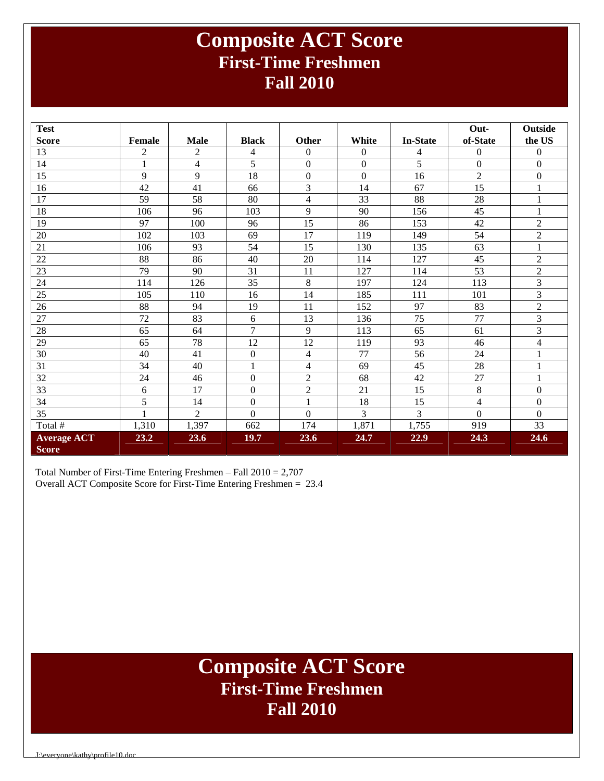### **Composite ACT Score First-Time Freshmen Fall 2010**

| <b>Test</b>                        |              |                         |                  |                  |                  |                 | Out-                    | <b>Outside</b>   |
|------------------------------------|--------------|-------------------------|------------------|------------------|------------------|-----------------|-------------------------|------------------|
| <b>Score</b>                       | Female       | <b>Male</b>             | <b>Black</b>     | Other            | White            | <b>In-State</b> | of-State                | the US           |
| 13                                 | 2            | $\overline{2}$          | 4                | $\Omega$         | $\Omega$         | 4               | $\Omega$                | $\Omega$         |
| 14                                 | $\mathbf{1}$ | $\overline{\mathbf{4}}$ | 5                | $\boldsymbol{0}$ | $\boldsymbol{0}$ | 5               | $\boldsymbol{0}$        | $\boldsymbol{0}$ |
| 15                                 | 9            | 9                       | 18               | $\boldsymbol{0}$ | $\boldsymbol{0}$ | 16              | $\overline{2}$          | $\boldsymbol{0}$ |
| 16                                 | 42           | 41                      | 66               | $\overline{3}$   | 14               | 67              | $\overline{15}$         | $\mathbf{1}$     |
| 17                                 | 59           | 58                      | 80               | $\overline{4}$   | 33               | 88              | 28                      | $\mathbf{1}$     |
| 18                                 | 106          | 96                      | 103              | 9                | 90               | 156             | 45                      | $\mathbf{1}$     |
| 19                                 | 97           | 100                     | 96               | 15               | 86               | 153             | 42                      | $\overline{c}$   |
| 20                                 | 102          | 103                     | 69               | 17               | 119              | 149             | 54                      | $\overline{2}$   |
| 21                                 | 106          | 93                      | 54               | 15               | 130              | 135             | 63                      | $\mathbf{1}$     |
| 22                                 | 88           | 86                      | 40               | 20               | 114              | 127             | 45                      | $\overline{2}$   |
| 23                                 | 79           | 90                      | 31               | 11               | 127              | 114             | 53                      | $\overline{2}$   |
| 24                                 | 114          | 126                     | 35               | 8                | 197              | 124             | 113                     | 3                |
| 25                                 | 105          | 110                     | 16               | 14               | 185              | 111             | 101                     | 3                |
| 26                                 | 88           | 94                      | 19               | 11               | 152              | 97              | 83                      | $\overline{c}$   |
| 27                                 | 72           | 83                      | 6                | 13               | 136              | 75              | 77                      | 3                |
| 28                                 | 65           | 64                      | $\overline{7}$   | 9                | 113              | 65              | 61                      | 3                |
| 29                                 | 65           | 78                      | 12               | 12               | 119              | 93              | 46                      | $\overline{4}$   |
| 30                                 | 40           | 41                      | $\boldsymbol{0}$ | $\overline{4}$   | 77               | 56              | 24                      | $\mathbf{1}$     |
| 31                                 | 34           | 40                      | $\mathbf{1}$     | $\overline{4}$   | 69               | 45              | 28                      | $\mathbf{1}$     |
| 32                                 | 24           | 46                      | $\mathbf{0}$     | $\overline{2}$   | 68               | 42              | 27                      | $\mathbf{1}$     |
| 33                                 | 6            | 17                      | $\boldsymbol{0}$ | $\overline{2}$   | 21               | 15              | $\,8\,$                 | $\boldsymbol{0}$ |
| 34                                 | 5            | 14                      | $\boldsymbol{0}$ | $\mathbf{1}$     | 18               | 15              | $\overline{\mathbf{4}}$ | $\mathbf{0}$     |
| 35                                 |              | $\overline{2}$          | $\Omega$         | $\overline{0}$   | 3                | 3               | $\overline{0}$          | $\mathbf{0}$     |
| Total #                            | 1,310        | 1,397                   | 662              | 174              | 1,871            | 1,755           | 919                     | 33               |
| <b>Average ACT</b><br><b>Score</b> | 23.2         | 23.6                    | <b>19.7</b>      | 23.6             | 24.7             | 22.9            | 24.3                    | 24.6             |

Total Number of First-Time Entering Freshmen – Fall 2010 = 2,707 Overall ACT Composite Score for First-Time Entering Freshmen = 23.4

### **Composite ACT Score First-Time Freshmen Fall 2010**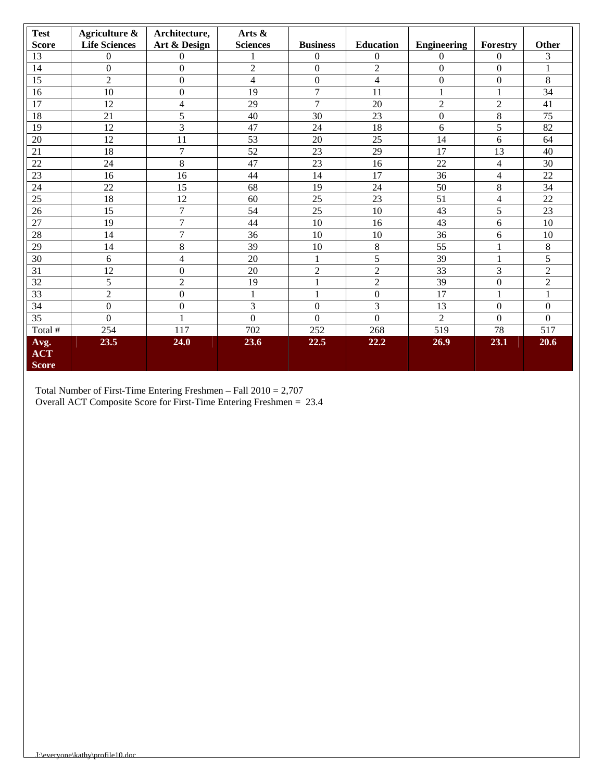| <b>Test</b>                        | Agriculture &        | Architecture,    | Arts &          |                  |                  |                    |                  |                |
|------------------------------------|----------------------|------------------|-----------------|------------------|------------------|--------------------|------------------|----------------|
| <b>Score</b>                       | <b>Life Sciences</b> | Art & Design     | <b>Sciences</b> | <b>Business</b>  | <b>Education</b> | <b>Engineering</b> | Forestry         | Other          |
| 13                                 | $\Omega$             | $\Omega$         |                 | $\Omega$         | $\Omega$         | $\mathbf{0}$       | $\mathbf{0}$     | 3              |
| 14                                 | $\Omega$             | $\Omega$         | $\overline{2}$  | $\Omega$         | $\overline{2}$   | $\theta$           | $\Omega$         | 1              |
| 15                                 | $\overline{2}$       | $\overline{0}$   | 4               | $\boldsymbol{0}$ | $\overline{4}$   | $\boldsymbol{0}$   | $\mathbf{0}$     | 8              |
| 16                                 | 10                   | $\Omega$         | 19              | 7                | 11               | $\mathbf{1}$       | 1                | 34             |
| 17                                 | 12                   | 4                | 29              | $\overline{7}$   | 20               | $\mathfrak{2}$     | $\mathfrak{2}$   | 41             |
| 18                                 | 21                   | 5                | 40              | 30               | 23               | $\boldsymbol{0}$   | $\,8\,$          | 75             |
| 19                                 | 12                   | 3                | 47              | 24               | 18               | 6                  | 5                | 82             |
| 20                                 | 12                   | 11               | 53              | 20               | 25               | 14                 | 6                | 64             |
| 21                                 | 18                   | $\overline{7}$   | 52              | 23               | 29               | 17                 | 13               | 40             |
| 22                                 | 24                   | $8\,$            | 47              | 23               | 16               | 22                 | $\overline{4}$   | 30             |
| $\overline{23}$                    | 16                   | 16               | 44              | 14               | 17               | 36                 | 4                | 22             |
| 24                                 | 22                   | 15               | 68              | 19               | 24               | 50                 | $8\,$            | 34             |
| 25                                 | 18                   | 12               | 60              | 25               | 23               | 51                 | 4                | 22             |
| 26                                 | 15                   | $\overline{7}$   | 54              | 25               | 10               | 43                 | 5                | 23             |
| 27                                 | 19                   | $\overline{7}$   | 44              | 10               | 16               | 43                 | 6                | 10             |
| 28                                 | 14                   | $\overline{7}$   | 36              | 10               | 10               | 36                 | 6                | 10             |
| 29                                 | 14                   | $\,8\,$          | 39              | 10               | $\,8\,$          | 55                 | $\mathbf{1}$     | $8\,$          |
| 30                                 | 6                    | 4                | 20              | 1                | 5                | 39                 | 1                | 5              |
| 31                                 | 12                   | $\boldsymbol{0}$ | 20              | $\overline{2}$   | $\overline{2}$   | 33                 | 3                | $\overline{2}$ |
| 32                                 | 5                    | $\overline{2}$   | 19              | $\mathbf{1}$     | $\overline{2}$   | 39                 | $\mathbf{0}$     | $\overline{2}$ |
| 33                                 | $\overline{2}$       | $\overline{0}$   | $\mathbf{1}$    | $\mathbf{1}$     | $\Omega$         | 17                 | 1                |                |
| 34                                 | $\theta$             | $\Omega$         | 3               | $\Omega$         | 3                | 13                 | $\boldsymbol{0}$ | $\theta$       |
| 35                                 | $\Omega$             | 1                | $\Omega$        | $\Omega$         | $\Omega$         | $\overline{2}$     | $\Omega$         | $\Omega$       |
| Total #                            | 254                  | 117              | 702             | 252              | 268              | 519                | 78               | 517            |
| Avg.<br><b>ACT</b><br><b>Score</b> | 23.5                 | 24.0             | 23.6            | 22.5             | 22.2             | 26.9               | 23.1             | 20.6           |

Total Number of First-Time Entering Freshmen – Fall 2010 = 2,707 Overall ACT Composite Score for First-Time Entering Freshmen = 23.4